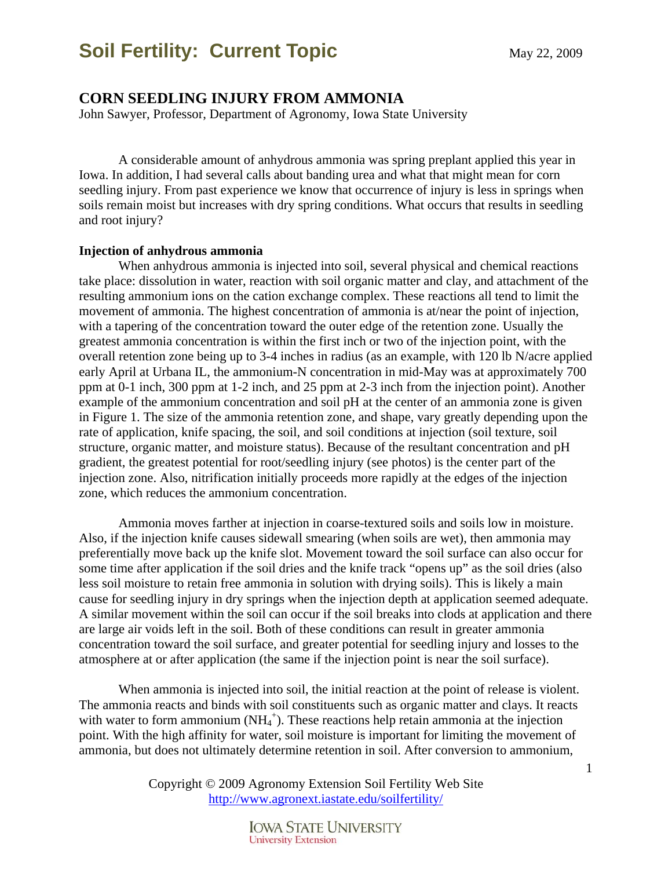### **CORN SEEDLING INJURY FROM AMMONIA**

John Sawyer, Professor, Department of Agronomy, Iowa State University

A considerable amount of anhydrous ammonia was spring preplant applied this year in Iowa. In addition, I had several calls about banding urea and what that might mean for corn seedling injury. From past experience we know that occurrence of injury is less in springs when soils remain moist but increases with dry spring conditions. What occurs that results in seedling and root injury?

#### **Injection of anhydrous ammonia**

When anhydrous ammonia is injected into soil, several physical and chemical reactions take place: dissolution in water, reaction with soil organic matter and clay, and attachment of the resulting ammonium ions on the cation exchange complex. These reactions all tend to limit the movement of ammonia. The highest concentration of ammonia is at/near the point of injection, with a tapering of the concentration toward the outer edge of the retention zone. Usually the greatest ammonia concentration is within the first inch or two of the injection point, with the overall retention zone being up to 3-4 inches in radius (as an example, with 120 lb N/acre applied early April at Urbana IL, the ammonium-N concentration in mid-May was at approximately 700 ppm at 0-1 inch, 300 ppm at 1-2 inch, and 25 ppm at 2-3 inch from the injection point). Another example of the ammonium concentration and soil pH at the center of an ammonia zone is given in Figure 1. The size of the ammonia retention zone, and shape, vary greatly depending upon the rate of application, knife spacing, the soil, and soil conditions at injection (soil texture, soil structure, organic matter, and moisture status). Because of the resultant concentration and pH gradient, the greatest potential for root/seedling injury (see photos) is the center part of the injection zone. Also, nitrification initially proceeds more rapidly at the edges of the injection zone, which reduces the ammonium concentration.

Ammonia moves farther at injection in coarse-textured soils and soils low in moisture. Also, if the injection knife causes sidewall smearing (when soils are wet), then ammonia may preferentially move back up the knife slot. Movement toward the soil surface can also occur for some time after application if the soil dries and the knife track "opens up" as the soil dries (also less soil moisture to retain free ammonia in solution with drying soils). This is likely a main cause for seedling injury in dry springs when the injection depth at application seemed adequate. A similar movement within the soil can occur if the soil breaks into clods at application and there are large air voids left in the soil. Both of these conditions can result in greater ammonia concentration toward the soil surface, and greater potential for seedling injury and losses to the atmosphere at or after application (the same if the injection point is near the soil surface).

When ammonia is injected into soil, the initial reaction at the point of release is violent. The ammonia reacts and binds with soil constituents such as organic matter and clays. It reacts with water to form ammonium  $(NH_4^+)$ . These reactions help retain ammonia at the injection point. With the high affinity for water, soil moisture is important for limiting the movement of ammonia, but does not ultimately determine retention in soil. After conversion to ammonium,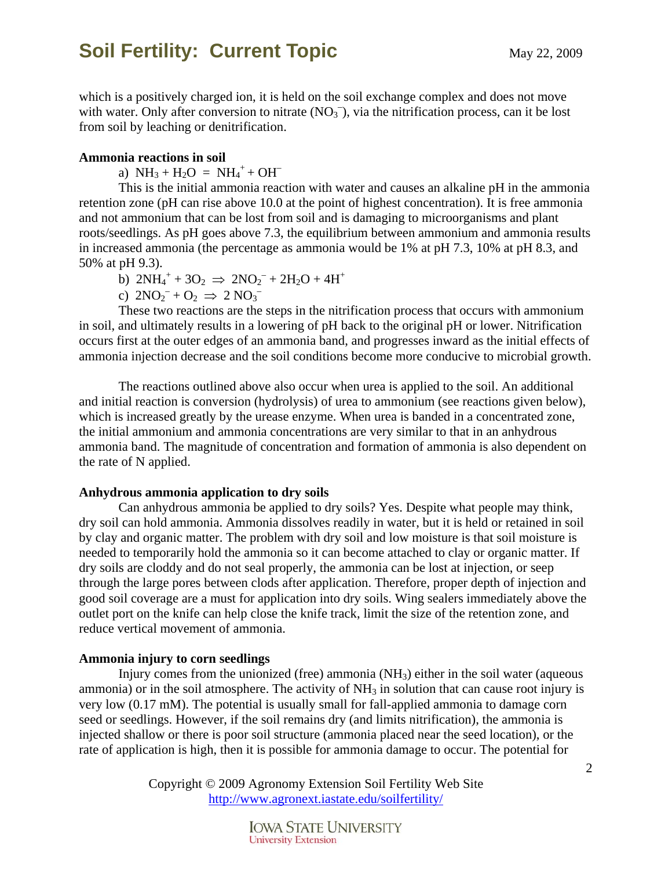which is a positively charged ion, it is held on the soil exchange complex and does not move with water. Only after conversion to nitrate  $(NO<sub>3</sub><sup>-</sup>)$ , via the nitrification process, can it be lost from soil by leaching or denitrification.

#### **Ammonia reactions in soil**

a)  $NH_3 + H_2O = NH_4^+ + OH^-$ 

This is the initial ammonia reaction with water and causes an alkaline pH in the ammonia retention zone (pH can rise above 10.0 at the point of highest concentration). It is free ammonia and not ammonium that can be lost from soil and is damaging to microorganisms and plant roots/seedlings. As pH goes above 7.3, the equilibrium between ammonium and ammonia results in increased ammonia (the percentage as ammonia would be 1% at pH 7.3, 10% at pH 8.3, and 50% at pH 9.3).

b)  $2NH_4^+ + 3O_2 \Rightarrow 2NO_2^- + 2H_2O + 4H^+$ 

c)  $2NO_2^- + O_2 \Rightarrow 2 NO_3^-$ 

These two reactions are the steps in the nitrification process that occurs with ammonium in soil, and ultimately results in a lowering of pH back to the original pH or lower. Nitrification occurs first at the outer edges of an ammonia band, and progresses inward as the initial effects of ammonia injection decrease and the soil conditions become more conducive to microbial growth.

 The reactions outlined above also occur when urea is applied to the soil. An additional and initial reaction is conversion (hydrolysis) of urea to ammonium (see reactions given below), which is increased greatly by the urease enzyme. When urea is banded in a concentrated zone, the initial ammonium and ammonia concentrations are very similar to that in an anhydrous ammonia band. The magnitude of concentration and formation of ammonia is also dependent on the rate of N applied.

#### **Anhydrous ammonia application to dry soils**

 Can anhydrous ammonia be applied to dry soils? Yes. Despite what people may think, dry soil can hold ammonia. Ammonia dissolves readily in water, but it is held or retained in soil by clay and organic matter. The problem with dry soil and low moisture is that soil moisture is needed to temporarily hold the ammonia so it can become attached to clay or organic matter. If dry soils are cloddy and do not seal properly, the ammonia can be lost at injection, or seep through the large pores between clods after application. Therefore, proper depth of injection and good soil coverage are a must for application into dry soils. Wing sealers immediately above the outlet port on the knife can help close the knife track, limit the size of the retention zone, and reduce vertical movement of ammonia.

#### **Ammonia injury to corn seedlings**

 Injury comes from the unionized (free) ammonia (NH3) either in the soil water (aqueous ammonia) or in the soil atmosphere. The activity of  $NH_3$  in solution that can cause root injury is very low (0.17 mM). The potential is usually small for fall-applied ammonia to damage corn seed or seedlings. However, if the soil remains dry (and limits nitrification), the ammonia is injected shallow or there is poor soil structure (ammonia placed near the seed location), or the rate of application is high, then it is possible for ammonia damage to occur. The potential for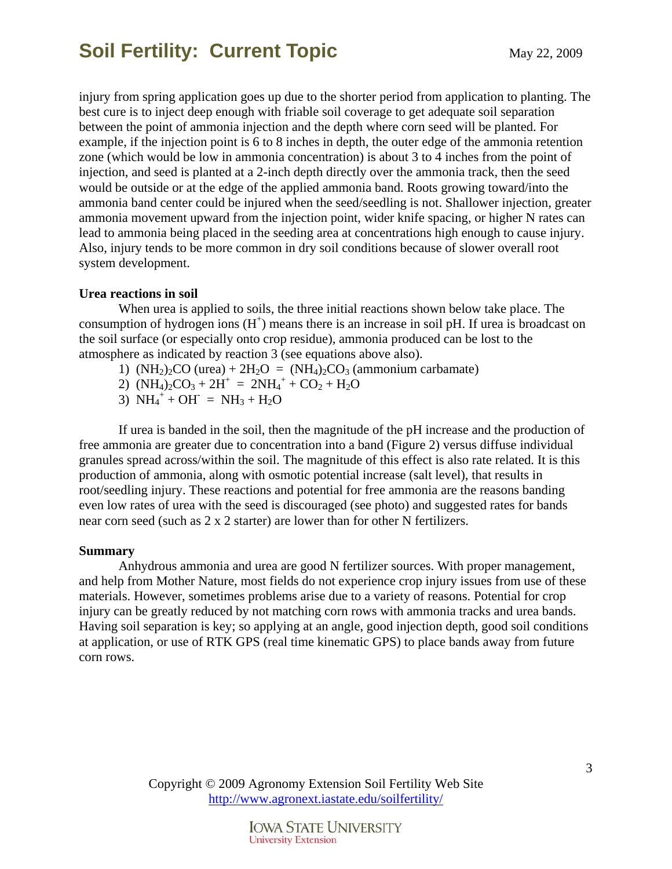injury from spring application goes up due to the shorter period from application to planting. The best cure is to inject deep enough with friable soil coverage to get adequate soil separation between the point of ammonia injection and the depth where corn seed will be planted. For example, if the injection point is 6 to 8 inches in depth, the outer edge of the ammonia retention zone (which would be low in ammonia concentration) is about 3 to 4 inches from the point of injection, and seed is planted at a 2-inch depth directly over the ammonia track, then the seed would be outside or at the edge of the applied ammonia band. Roots growing toward/into the ammonia band center could be injured when the seed/seedling is not. Shallower injection, greater ammonia movement upward from the injection point, wider knife spacing, or higher N rates can lead to ammonia being placed in the seeding area at concentrations high enough to cause injury. Also, injury tends to be more common in dry soil conditions because of slower overall root system development.

#### **Urea reactions in soil**

 When urea is applied to soils, the three initial reactions shown below take place. The consumption of hydrogen ions  $(H^+)$  means there is an increase in soil pH. If urea is broadcast on the soil surface (or especially onto crop residue), ammonia produced can be lost to the atmosphere as indicated by reaction 3 (see equations above also).

- 1)  $(NH<sub>2</sub>)<sub>2</sub>CO (urea) + 2H<sub>2</sub>O = (NH<sub>4</sub>)<sub>2</sub>CO<sub>3</sub> (ammonium carbanate)$
- 2)  $(NH_4)_2CO_3 + 2H^+ = 2NH_4^+ + CO_2 + H_2O$
- 3)  $NH_4^+ + OH^- = NH_3 + H_2O$

If urea is banded in the soil, then the magnitude of the pH increase and the production of free ammonia are greater due to concentration into a band (Figure 2) versus diffuse individual granules spread across/within the soil. The magnitude of this effect is also rate related. It is this production of ammonia, along with osmotic potential increase (salt level), that results in root/seedling injury. These reactions and potential for free ammonia are the reasons banding even low rates of urea with the seed is discouraged (see photo) and suggested rates for bands near corn seed (such as 2 x 2 starter) are lower than for other N fertilizers.

#### **Summary**

Anhydrous ammonia and urea are good N fertilizer sources. With proper management, and help from Mother Nature, most fields do not experience crop injury issues from use of these materials. However, sometimes problems arise due to a variety of reasons. Potential for crop injury can be greatly reduced by not matching corn rows with ammonia tracks and urea bands. Having soil separation is key; so applying at an angle, good injection depth, good soil conditions at application, or use of RTK GPS (real time kinematic GPS) to place bands away from future corn rows.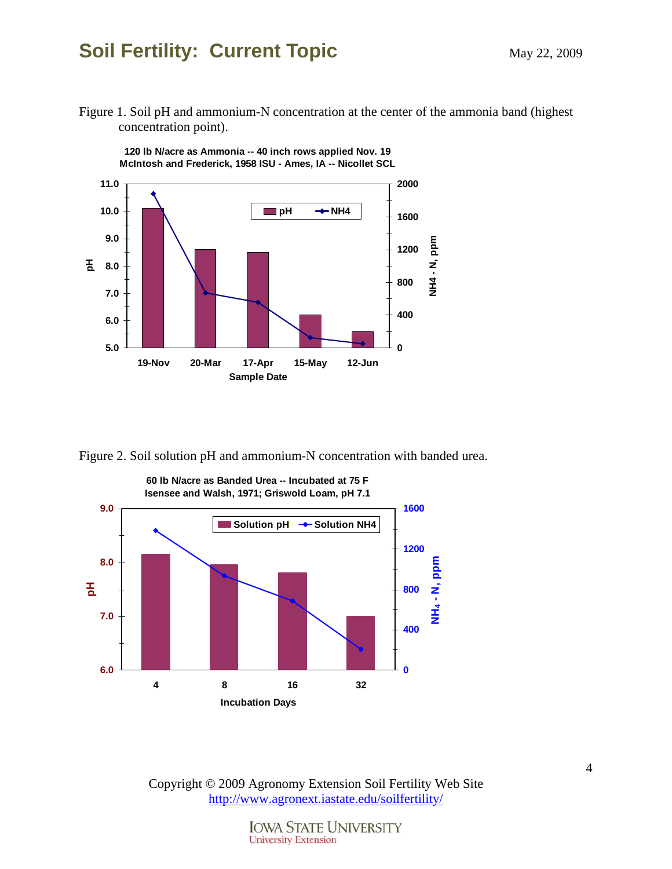### **Soil Fertility: Current Topic May 22, 2009** May 22, 2009

Figure 1. Soil pH and ammonium-N concentration at the center of the ammonia band (highest concentration point).



**120 lb N/acre as Ammonia -- 40 inch rows applied Nov. 19**

Figure 2. Soil solution pH and ammonium-N concentration with banded urea.



Copyright © 2009 Agronomy Extension Soil Fertility Web Site http://www.agronext.iastate.edu/soilfertility/

> **IOWA STATE UNIVERSITY University Extension**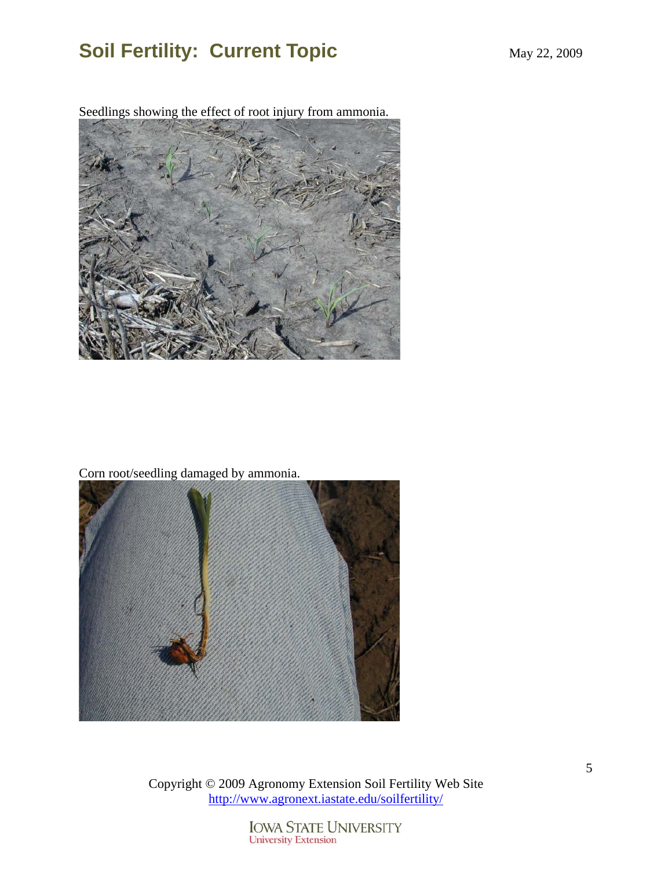Seedlings showing the effect of root injury from ammonia.



Corn root/seedling damaged by ammonia.